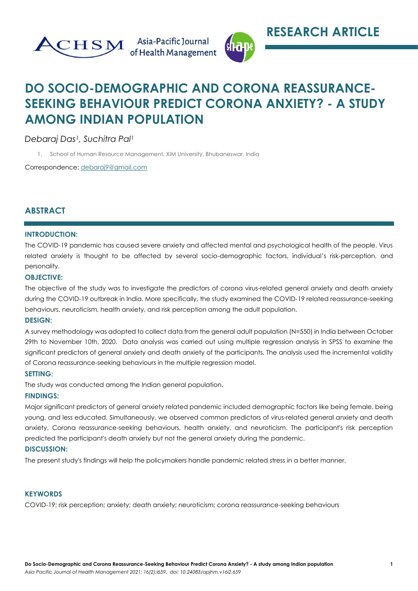



# **DO SOCIO-DEMOGRAPHIC AND CORONA REASSURANCE-SEEKING BEHAVIOUR PREDICT CORONA ANXIETY? - A STUDY AMONG INDIAN POPULATION**

*Debaraj Das1, Suchitra Pal<sup>1</sup>*

1. School of Human Resource Management, XIM University, Bhubaneswar, India

Correspondence: [debaraj9@gmail.com](mailto:debaraj9@gmail.com)

# **ABSTRACT**

## **INTRODUCTION:**

The COVID-19 pandemic has caused severe anxiety and affected mental and psychological health of the people. Virus related anxiety is thought to be affected by several socio-demographic factors, individual's risk-perception, and personality.

### **OBJECTIVE:**

The objective of the study was to investigate the predictors of corona virus-related general anxiety and death anxiety during the COVID-19 outbreak in India. More specifically, the study examined the COVID-19 related reassurance-seeking behaviours, neuroticism, health anxiety, and risk perception among the adult population.

## **DESIGN:**

A survey methodology was adopted to collect data from the general adult population (N=550) in India between October 29th to November 10th, 2020. Data analysis was carried out using multiple regression analysis in SPSS to examine the significant predictors of general anxiety and death anxiety of the participants. The analysis used the incremental validity of Corona reassurance-seeking behaviours in the multiple regression model.

#### **SETTING**:

The study was conducted among the Indian general population.

#### **FINDINGS:**

Major significant predictors of general anxiety related pandemic included demographic factors like being female, being young, and less educated. Simultaneously, we observed common predictors of virus-related general anxiety and death anxiety, Corona reassurance-seeking behaviours, health anxiety, and neuroticism. The participant's risk perception predicted the participant's death anxiety but not the general anxiety during the pandemic.

## **DISCUSSION:**

The present study's findings will help the policymakers handle pandemic related stress in a better manner.

#### **KEYWORDS**

COVID-19; risk perception; anxiety; death anxiety; neuroticism; corona reassurance-seeking behaviours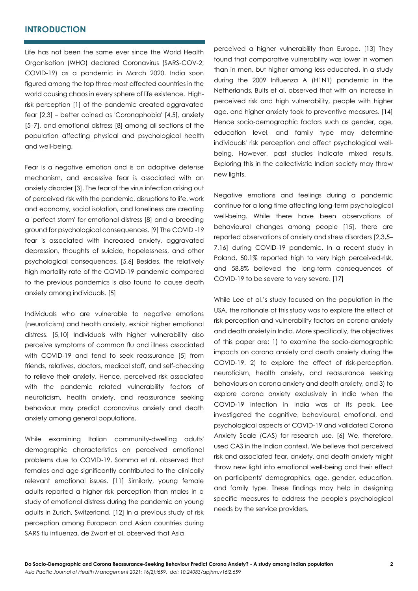## **INTRODUCTION**

Life has not been the same ever since the World Health Organisation (WHO) declared Coronavirus (SARS-COV-2; COVID-19) as a pandemic in March 2020. India soon figured among the top three most affected countries in the world causing chaos in every sphere of life existence. Highrisk perception [1] of the pandemic created aggravated fear [2,3] – better coined as 'Coronaphobia' [4,5], anxiety [5–7], and emotional distress [8] among all sections of the population affecting physical and psychological health and well-being.

Fear is a negative emotion and is an adaptive defense mechanism, and excessive fear is associated with an anxiety disorder [3]. The fear of the virus infection arising out of perceived risk with the pandemic, disruptions to life, work and economy, social isolation, and loneliness are creating a 'perfect storm' for emotional distress [8] and a breeding ground for psychological consequences. [9] The COVID -19 fear is associated with increased anxiety, aggravated depression, thoughts of suicide, hopelessness, and other psychological consequences. [5,6] Besides, the relatively high mortality rate of the COVID-19 pandemic compared to the previous pandemics is also found to cause death anxiety among individuals. [5]

Individuals who are vulnerable to negative emotions (neuroticism) and health anxiety, exhibit higher emotional distress. [5,10] Individuals with higher vulnerability also perceive symptoms of common flu and illness associated with COVID-19 and tend to seek reassurance [5] from friends, relatives, doctors, medical staff, and self-checking to relieve their anxiety. Hence, perceived risk associated with the pandemic related vulnerability factors of neuroticism, health anxiety, and reassurance seeking behaviour may predict coronavirus anxiety and death anxiety among general populations.

While examining Italian community-dwelling adults' demographic characteristics on perceived emotional problems due to COVID-19, Somma et al. observed that females and age significantly contributed to the clinically relevant emotional issues. [11] Similarly, young female adults reported a higher risk perception than males in a study of emotional distress during the pandemic on young adults in Zurich, Switzerland. [12] In a previous study of risk perception among European and Asian countries during SARS flu influenza, de Zwart et al. observed that Asia

perceived a higher vulnerability than Europe. [13] They found that comparative vulnerability was lower in women than in men, but higher among less educated. In a study during the 2009 Influenza A (H1N1) pandemic in the Netherlands, Bults et al. observed that with an increase in perceived risk and high vulnerability, people with higher age, and higher anxiety took to preventive measures. [14] Hence socio-demographic factors such as gender, age, education level, and family type may determine individuals' risk perception and affect psychological wellbeing. However, past studies indicate mixed results. Exploring this in the collectivistic Indian society may throw new lights.

Negative emotions and feelings during a pandemic continue for a long time affecting long-term psychological well-being. While there have been observations of behavioural changes among people [15], there are reported observations of anxiety and stress disorders [2,3,5– 7,16] during COVID-19 pandemic. In a recent study in Poland, 50.1% reported high to very high perceived-risk, and 58.8% believed the long-term consequences of COVID-19 to be severe to very severe. [17]

While Lee et al.'s study focused on the population in the USA, the rationale of this study was to explore the effect of risk perception and vulnerability factors on corona anxiety and death anxiety in India. More specifically, the objectives of this paper are: 1) to examine the socio-demographic impacts on corona anxiety and death anxiety during the COVID-19, 2) to explore the effect of risk-perception, neuroticism, health anxiety, and reassurance seeking behaviours on corona anxiety and death anxiety, and 3) to explore corona anxiety exclusively in India when the COVID-19 infection in India was at its peak. Lee investigated the cognitive, behavioural, emotional, and psychological aspects of COVID-19 and validated Corona Anxiety Scale (CAS) for research use. [6] We, therefore, used CAS in the Indian context. We believe that perceived risk and associated fear, anxiety, and death anxiety might throw new light into emotional well-being and their effect on participants' demographics, age, gender, education, and family type. These findings may help in designing specific measures to address the people's psychological needs by the service providers.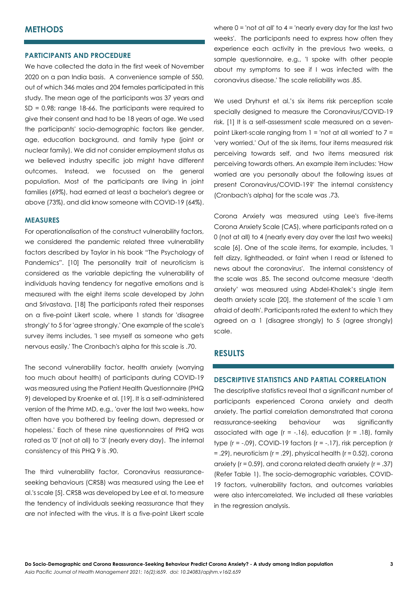## **METHODS**

#### **PARTICIPANTS AND PROCEDURE**

We have collected the data in the first week of November 2020 on a pan India basis. A convenience sample of 550, out of which 346 males and 204 females participated in this study. The mean age of the participants was 37 years and  $SD = 0.98$ ; range 18-66. The participants were required to give their consent and had to be 18 years of age. We used the participants' socio-demographic factors like gender, age, education background, and family type (joint or nuclear family). We did not consider employment status as we believed industry specific job might have different outcomes. Instead, we focussed on the general population. Most of the participants are living in joint families (69%), had earned at least a bachelor's degree or above (73%), and did know someone with COVID-19 (64%).

#### **MEASURES**

For operationalisation of the construct vulnerability factors, we considered the pandemic related three vulnerability factors described by Taylor in his book "The Psychology of Pandemics". [10] The personality trait of neuroticism is considered as the variable depicting the vulnerability of individuals having tendency for negative emotions and is measured with the eight items scale developed by John and Srivastava. [18] The participants rated their responses on a five-point Likert scale, where 1 stands for 'disagree strongly' to 5 for 'agree strongly.' One example of the scale's survey items includes, 'I see myself as someone who gets nervous easily.' The Cronbach's alpha for this scale is .70.

The second vulnerability factor, health anxiety (worrying too much about health) of participants during COVID-19 was measured using the Patient Health Questionnaire (PHQ 9) developed by Kroenke et al. [19]. It is a self-administered version of the Prime MD, e.g., 'over the last two weeks, how often have you bothered by feeling down, depressed or hopeless.' Each of these nine questionnaires of PHQ was rated as '0' (not at all) to '3' (nearly every day). The internal consistency of this PHQ 9 is .90.

The third vulnerability factor, Coronavirus reassuranceseeking behaviours (CRSB) was measured using the Lee et al.'s scale [5]. CRSB was developed by Lee et al. to measure the tendency of individuals seeking reassurance that they are not infected with the virus. It is a five-point Likert scale

where  $0 =$  'not at all' to  $4 =$  'nearly every day for the last two weeks'. The participants need to express how often they experience each activity in the previous two weeks, a sample questionnaire, e.g., 'I spoke with other people about my symptoms to see if I was infected with the coronavirus disease.' The scale reliability was .85.

We used Dryhurst et al.'s six items risk perception scale specially designed to measure the Coronavirus/COVID-19 risk. [1] It is a self-assessment scale measured on a sevenpoint Likert-scale ranging from  $1 =$  'not at all worried' to  $7 =$ 'very worried.' Out of the six items, four items measured risk perceiving towards self, and two items measured risk perceiving towards others. An example item includes: 'How worried are you personally about the following issues at present Coronavirus/COVID-19?' The internal consistency (Cronbach's alpha) for the scale was .73.

Corona Anxiety was measured using Lee's five-items Corona Anxiety Scale (CAS), where participants rated on a 0 (not at all) to 4 (nearly every day over the last two weeks) scale [6]. One of the scale items, for example, includes, 'I felt dizzy, lightheaded, or faint when I read or listened to news about the coronavirus'. The internal consistency of the scale was .85. The second outcome measure 'death anxiety' was measured using Abdel-Khalek's single item death anxiety scale [20], the statement of the scale 'I am afraid of death'. Participants rated the extent to which they agreed on a 1 (disagree strongly) to 5 (agree strongly) scale.

## **RESULTS**

### **DESCRIPTIVE STATISTICS AND PARTIAL CORRELATION**

The descriptive statistics reveal that a significant number of participants experienced Corona anxiety and death anxiety. The partial correlation demonstrated that corona reassurance-seeking behaviour was significantly associated with age  $(r = -.16)$ , education  $(r = .18)$ , family type  $(r = -.09)$ , COVID-19 factors  $(r = -.17)$ , risk perception  $(r = .17)$  $=$  .29), neuroticism ( $r = .29$ ), physical health ( $r = 0.52$ ), corona anxiety ( $r = 0.59$ ), and corona related death anxiety ( $r = .37$ ) (Refer Table 1). The socio-demographic variables, COVID-19 factors, vulnerability factors, and outcomes variables were also intercorrelated. We included all these variables in the regression analysis.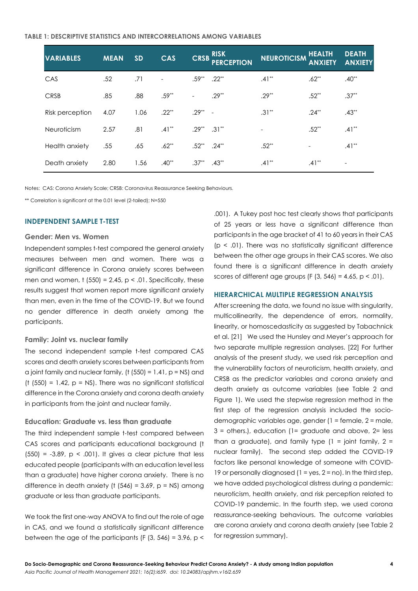#### **TABLE 1: DESCRIPTIVE STATISTICS AND INTERCORRELATIONS AMONG VARIABLES**

| <b>VARIABLES</b> | <b>MEAN</b> | <b>SD</b> | <b>CAS</b> |                  | CRSB RISK<br><b>PERCEPTION</b> | <b>NEUROTICISM</b> | <b>HEALTH</b><br><b>ANXIETY</b> | <b>DEATH</b><br><b>ANXIETY</b> |
|------------------|-------------|-----------|------------|------------------|--------------------------------|--------------------|---------------------------------|--------------------------------|
| CAS              | .52         | .71       |            | $.59**$          | $.22**$                        | $.41**$            | $.62**$                         | $.40**$                        |
| <b>CRSB</b>      | .85         | .88       | $.59**$    |                  | $.29**$                        | $.29**$            | $.52**$                         | $.37**$                        |
| Risk perception  | 4.07        | 1.06      | $.22**$    | $.29***$ -       |                                | $.31***$           | $.24***$                        | $.43**$                        |
| Neuroticism      | 2.57        | .81       | $.41***$   | $.29***$         | $.31**$                        |                    | $.52**$                         | $.41***$                       |
| Health anxiety   | .55         | .65       | $.62**$    | $.52^{**}$ .24** |                                | $.52**$            | $\overline{\phantom{a}}$        | $.41**$                        |
| Death anxiety    | 2.80        | 1.56      | $.40**$    | $.37**$          | $.43**$                        | $.41**$            | $.41**$                         | $\overline{\phantom{a}}$       |

Notes: CAS: Corona Anxiety Scale; CRSB: Coronavirus Reassurance Seeking Behaviours.

\*\* Correlation is significant at the 0.01 level (2-tailed); N=550

#### **INDEPENDENT SAMPLE T-TEST**

#### **Gender: Men vs. Women**

Independent samples t-test compared the general anxiety measures between men and women. There was a significant difference in Corona anxiety scores between men and women,  $t$  (550) = 2.45,  $p < .01$ . Specifically, these results suggest that women report more significant anxiety than men, even in the time of the COVID-19. But we found no gender difference in death anxiety among the participants.

#### **Family: Joint vs. nuclear family**

The second independent sample t-test compared CAS scores and death anxiety scores between participants from a joint family and nuclear family, ( $t$  (550) = 1.41,  $p$  = NS) and (t  $(550) = 1.42$ ,  $p = NS$ ). There was no significant statistical difference in the Corona anxiety and corona death anxiety in participants from the joint and nuclear family.

#### **Education: Graduate vs. less than graduate**

The third independent sample t-test compared between CAS scores and participants educational background (t  $(550) = -3.89$ ,  $p < .001$ ). It gives a clear picture that less educated people (participants with an education level less than a graduate) have higher corona anxiety. There is no difference in death anxiety (t  $(546) = 3.69$ , p = NS) among graduate or less than graduate participants.

We took the first one-way ANOVA to find out the role of age in CAS, and we found a statistically significant difference between the age of the participants (F  $(3, 546) = 3.96$ , p <

.001). A Tukey post hoc test clearly shows that participants of 25 years or less have a significant difference than participants in the age bracket of 41 to 60 years in their CAS  $(p < .01)$ . There was no statistically significant difference between the other age groups in their CAS scores. We also found there is a significant difference in death anxiety scores of different age groups (F  $(3, 546) = 4.65$ , p < .01).

#### **HIERARCHICAL MULTIPLE REGRESSION ANALYSIS**

After screening the data, we found no issue with singularity, multicollinearity, the dependence of errors, normality, linearity, or homoscedasticity as suggested by Tabachnick et al. [21] We used the Hunsley and Meyer's approach for two separate multiple regression analyses. [22] For further analysis of the present study, we used risk perception and the vulnerability factors of neuroticism, health anxiety, and CRSB as the predictor variables and corona anxiety and death anxiety as outcome variables (see Table 2 and Figure 1). We used the stepwise regression method in the first step of the regression analysis included the sociodemographic variables age, gender (1 = female, 2 = male,  $3 =$  others.), education (1= graduate and above,  $2=$  less than a graduate), and family type  $(1 =$  joint family,  $2 =$ nuclear family). The second step added the COVID-19 factors like personal knowledge of someone with COVID-19 or personally diagnosed  $(1 = yes, 2 = no)$ . In the third step, we have added psychological distress during a pandemic: neuroticism, health anxiety, and risk perception related to COVID-19 pandemic. In the fourth step, we used corona reassurance-seeking behaviours. The outcome variables are corona anxiety and corona death anxiety (see Table 2 for regression summary).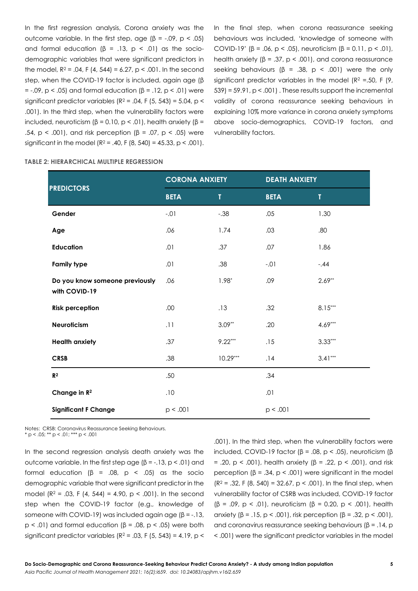In the first regression analysis, Corona anxiety was the outcome variable. In the first step, age  $(β = -.09, p < .05)$ and formal education (β = .13, p < .01) as the sociodemographic variables that were significant predictors in the model,  $R^2 = .04$ , F (4, 544) = 6.27, p < .001. In the second step, when the COVID-19 factor is included, again age (β =  $-0.09$ , p <  $0.05$ ) and formal education (β =  $.12$ , p <  $.01$ ) were significant predictor variables ( $R^2$  = .04, F (5, 543) = 5.04, p < .001). In the third step, when the vulnerability factors were included, neuroticism  $(β = 0.10, p < .01)$ , health anxiety  $(β =$ .54, p < .001), and risk perception ( $β = .07$ , p < .05) were significant in the model  $(R^2 = .40, F(8, 540) = 45.33, p < .001)$ .

In the final step, when corona reassurance seeking behaviours was included, 'knowledge of someone with COVID-19' (β = .06, p < .05), neuroticism (β = 0.11, p < .01), health anxiety ( $\beta$  = .37,  $p$  < .001), and corona reassurance seeking behaviours ( $β = .38$ ,  $p < .001$ ) were the only significant predictor variables in the model ( $R^2$  =.50, F (9,  $539$  =  $59.91$ ,  $p < .001$ ). These results support the incremental validity of corona reassurance seeking behaviours in explaining 10% more variance in corona anxiety symptoms above socio-demographics, COVID-19 factors, and vulnerability factors.

#### **TABLE 2: HIERARCHICAL MULTIPLE REGRESSION**

| <b>PREDICTORS</b>                               | <b>CORONA ANXIETY</b> |            | <b>DEATH ANXIETY</b> |           |  |
|-------------------------------------------------|-----------------------|------------|----------------------|-----------|--|
|                                                 | <b>BETA</b>           | Т          | <b>BETA</b>          | T         |  |
| Gender                                          | $-.01$                | $-.38$     | .05                  | 1.30      |  |
| Age                                             | .06                   | 1.74       | .03                  | .80       |  |
| <b>Education</b>                                | .01                   | .37        | .07                  | 1.86      |  |
| <b>Family type</b>                              | .01                   | .38        | $-.01$               | $-.44$    |  |
| Do you know someone previously<br>with COVID-19 | .06                   | $1.98*$    | .09                  | $2.69**$  |  |
| <b>Risk perception</b>                          | .00                   | .13        | .32                  | $8.15***$ |  |
| <b>Neuroticism</b>                              | .11                   | $3.09**$   | .20                  | $4.69***$ |  |
| <b>Health anxiety</b>                           | .37                   | $9.22***$  | .15                  | $3.33***$ |  |
| <b>CRSB</b>                                     | .38                   | $10.29***$ | .14                  | $3.41***$ |  |
| R <sup>2</sup>                                  | .50                   |            | .34                  |           |  |
| Change in R <sup>2</sup>                        | .10                   |            | .01                  |           |  |
| <b>Significant F Change</b>                     | p < .001              |            | p < .001             |           |  |

Notes: CRSB: Coronavirus Reassurance Seeking Behaviours.  $* p < .05; ** p < .01; ** p < .001$ 

In the second regression analysis death anxiety was the outcome variable. In the first step age  $(β = -.13, p < .01)$  and formal education ( $\beta$  = .08,  $p$  < .05) as the socio demographic variable that were significant predictor in the model ( $R^2$  = .03, F (4, 544) = 4.90,  $p$  < .001). In the second step when the COVID-19 factor (e.g., knowledge of someone with COVID-19) was included again age (β = -.13, p < .01) and formal education (β = .08, p < .05) were both significant predictor variables ( $R^2$  = .03, F (5, 543) = 4.19, p <

.001). In the third step, when the vulnerability factors were included, COVID-19 factor (β = .08, p < .05), neuroticism (β = .20, p < .001), health anxiety (β = .22, p < .001), and risk perception (β = .34, p < .001) were significant in the model  $(R<sup>2</sup> = .32, F (8, 540) = 32.67, p < .001$ . In the final step, when vulnerability factor of CSRB was included, COVID-19 factor  $(6 = .09, p < .01)$ , neuroticism  $(6 = 0.20, p < .001)$ , health anxiety (β = .15, p < .001), risk perception (β = .32, p < .001), and coronavirus reassurance seeking behaviours ( $\beta$  = .14, p < .001) were the significant predictor variables in the model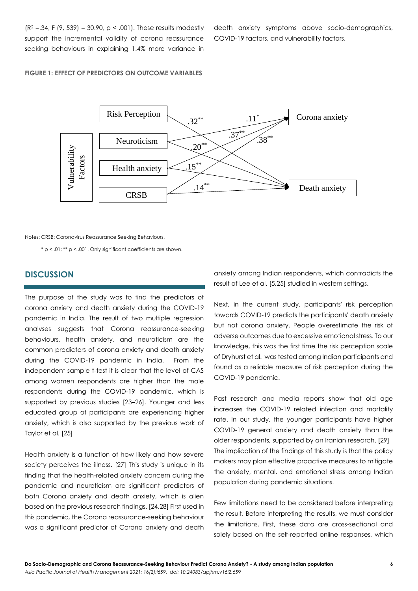$(R^2 = 0.34, F (9, 539) = 30.90, p < 0.001$ . These results modestly support the incremental validity of corona reassurance seeking behaviours in explaining 1.4% more variance in

death anxiety symptoms above socio-demographics, COVID-19 factors, and vulnerability factors.

## **FIGURE 1: EFFECT OF PREDICTORS ON OUTCOME VARIABLES**



Notes: CRSB: Coronavirus Reassurance Seeking Behaviours.

\* p < .01; \*\* p < .001. Only significant coefficients are shown.

# **DISCUSSION**

The purpose of the study was to find the predictors of corona anxiety and death anxiety during the COVID-19 pandemic in India. The result of two multiple regression analyses suggests that Corona reassurance-seeking behaviours, health anxiety, and neuroticism are the common predictors of corona anxiety and death anxiety during the COVID-19 pandemic in India. From the independent sample t-test it is clear that the level of CAS among women respondents are higher than the male respondents during the COVID-19 pandemic, which is supported by previous studies [23–26]. Younger and less educated group of participants are experiencing higher anxiety, which is also supported by the previous work of Taylor et al. [25]

Health anxiety is a function of how likely and how severe society perceives the illness. [27] This study is unique in its finding that the health-related anxiety concern during the pandemic and neuroticism are significant predictors of both Corona anxiety and death anxiety, which is alien based on the previous research findings. [24,28] First used in this pandemic, the Corona reassurance-seeking behaviour was a significant predictor of Corona anxiety and death

anxiety among Indian respondents, which contradicts the result of Lee et al. [5,25] studied in western settings.

Next, in the current study, participants' risk perception towards COVID-19 predicts the participants' death anxiety but not corona anxiety. People overestimate the risk of adverse outcomes due to excessive emotional stress. To our knowledge, this was the first time the risk perception scale of Dryhurst et al. was tested among Indian participants and found as a reliable measure of risk perception during the COVID-19 pandemic.

Past research and media reports show that old age increases the COVID-19 related infection and mortality rate. In our study, the younger participants have higher COVID-19 general anxiety and death anxiety than the older respondents, supported by an Iranian research. [29] The implication of the findings of this study is that the policy makers may plan effective proactive measures to mitigate the anxiety, mental, and emotional stress among Indian population during pandemic situations.

Few limitations need to be considered before interpreting the result. Before interpreting the results, we must consider the limitations. First, these data are cross-sectional and solely based on the self-reported online responses, which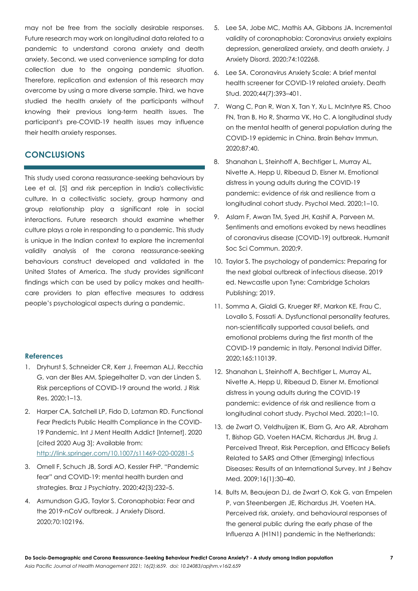may not be free from the socially desirable responses. Future research may work on longitudinal data related to a pandemic to understand corona anxiety and death anxiety. Second, we used convenience sampling for data collection due to the ongoing pandemic situation. Therefore, replication and extension of this research may overcome by using a more diverse sample. Third, we have studied the health anxiety of the participants without knowing their previous long-term health issues. The participant's pre-COVID-19 health issues may influence their health anxiety responses.

## **CONCLUSIONS**

This study used corona reassurance-seeking behaviours by Lee et al. [5] and risk perception in India's collectivistic culture. In a collectivistic society, group harmony and group relationship play a significant role in social interactions. Future research should examine whether culture plays a role in responding to a pandemic. This study is unique in the Indian context to explore the incremental validity analysis of the corona reassurance-seeking behaviours construct developed and validated in the United States of America. The study provides significant findings which can be used by policy makes and healthcare providers to plan effective measures to address people's psychological aspects during a pandemic.

#### **References**

- 1. Dryhurst S, Schneider CR, Kerr J, Freeman ALJ, Recchia G, van der Bles AM, Spiegelhalter D, van der Linden S. Risk perceptions of COVID-19 around the world. J Risk Res. 2020;1–13.
- 2. Harper CA, Satchell LP, Fido D, Latzman RD, Functional Fear Predicts Public Health Compliance in the COVID-19 Pandemic. Int J Ment Health Addict [Internet]. 2020 [cited 2020 Aug 3]; Available from: <http://link.springer.com/10.1007/s11469-020-00281-5>
- 3. Ornell F, Schuch JB, Sordi AO, Kessler FHP. "Pandemic fear" and COVID-19: mental health burden and strategies. Braz J Psychiatry. 2020;42(3):232–5.
- 4. Asmundson GJG, Taylor S. Coronaphobia: Fear and the 2019-nCoV outbreak. J Anxiety Disord. 2020;70:102196.
- 5. Lee SA, Jobe MC, Mathis AA, Gibbons JA. Incremental validity of coronaphobia: Coronavirus anxiety explains depression, generalized anxiety, and death anxiety. J Anxiety Disord. 2020;74:102268.
- 6. Lee SA. Coronavirus Anxiety Scale: A brief mental health screener for COVID-19 related anxiety. Death Stud. 2020;44(7):393–401.
- 7. Wang C, Pan R, Wan X, Tan Y, Xu L, McIntyre RS, Choo FN, Tran B, Ho R, Sharma VK, Ho C. A longitudinal study on the mental health of general population during the COVID-19 epidemic in China. Brain Behav Immun. 2020;87:40.
- 8. Shanahan L, Steinhoff A, Bechtiger L, Murray AL, Nivette A, Hepp U, Ribeaud D, Eisner M. Emotional distress in young adults during the COVID-19 pandemic: evidence of risk and resilience from a longitudinal cohort study. Psychol Med. 2020;1–10.
- 9. Aslam F, Awan TM, Syed JH, Kashif A, Parveen M. Sentiments and emotions evoked by news headlines of coronavirus disease (COVID-19) outbreak. Humanit Soc Sci Commun. 2020;9.
- 10. Taylor S. The psychology of pandemics: Preparing for the next global outbreak of infectious disease. 2019 ed. Newcastle upon Tyne: Cambridge Scholars Publishing; 2019.
- 11. Somma A, Gialdi G, Krueger RF, Markon KE, Frau C, Lovallo S, Fossati A. Dysfunctional personality features, non-scientifically supported causal beliefs, and emotional problems during the first month of the COVID-19 pandemic in Italy. Personal Individ Differ. 2020;165:110139.
- 12. Shanahan L, Steinhoff A, Bechtiger L, Murray AL, Nivette A, Hepp U, Ribeaud D, Eisner M. Emotional distress in young adults during the COVID-19 pandemic: evidence of risk and resilience from a longitudinal cohort study. Psychol Med. 2020;1–10.
- 13. de Zwart O, Veldhuijzen IK, Elam G, Aro AR, Abraham T, Bishop GD, Voeten HACM, Richardus JH, Brug J. Perceived Threat, Risk Perception, and Efficacy Beliefs Related to SARS and Other (Emerging) Infectious Diseases: Results of an International Survey. Int J Behav Med. 2009;16(1):30–40.
- 14. Bults M, Beaujean DJ, de Zwart O, Kok G, van Empelen P, van Steenbergen JE, Richardus JH, Voeten HA. Perceived risk, anxiety, and behavioural responses of the general public during the early phase of the Influenza A (H1N1) pandemic in the Netherlands: